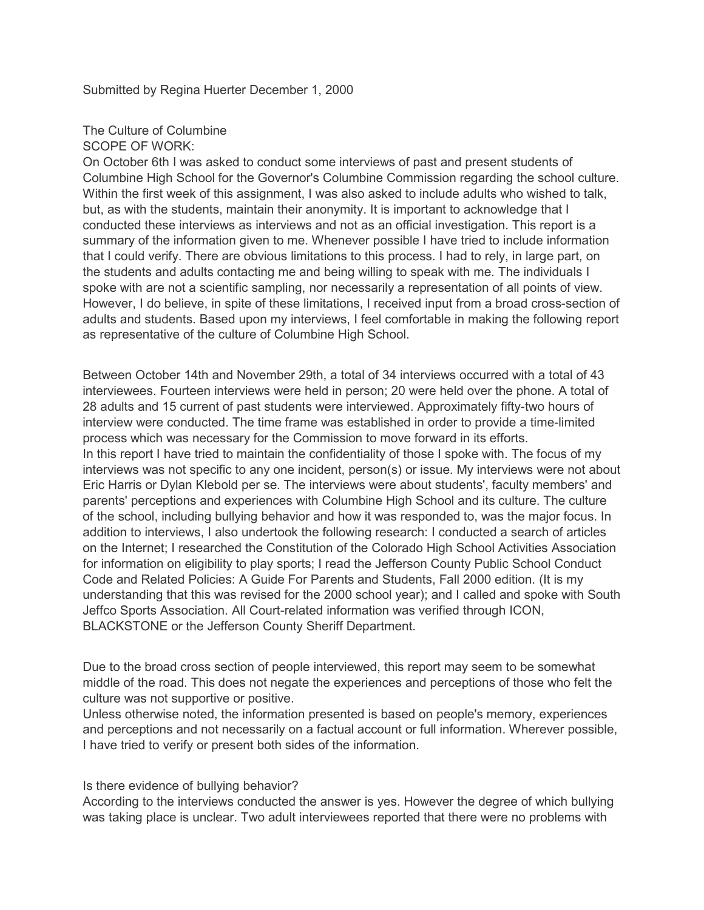Submitted by Regina Huerter December 1, 2000

# The Culture of Columbine

# SCOPE OF WORK:

On October 6th I was asked to conduct some interviews of past and present students of Columbine High School for the Governor's Columbine Commission regarding the school culture. Within the first week of this assignment, I was also asked to include adults who wished to talk, but, as with the students, maintain their anonymity. It is important to acknowledge that I conducted these interviews as interviews and not as an official investigation. This report is a summary of the information given to me. Whenever possible I have tried to include information that I could verify. There are obvious limitations to this process. I had to rely, in large part, on the students and adults contacting me and being willing to speak with me. The individuals I spoke with are not a scientific sampling, nor necessarily a representation of all points of view. However, I do believe, in spite of these limitations, I received input from a broad cross-section of adults and students. Based upon my interviews, I feel comfortable in making the following report as representative of the culture of Columbine High School.

Between October 14th and November 29th, a total of 34 interviews occurred with a total of 43 interviewees. Fourteen interviews were held in person; 20 were held over the phone. A total of 28 adults and 15 current of past students were interviewed. Approximately fifty-two hours of interview were conducted. The time frame was established in order to provide a time-limited process which was necessary for the Commission to move forward in its efforts. In this report I have tried to maintain the confidentiality of those I spoke with. The focus of my interviews was not specific to any one incident, person(s) or issue. My interviews were not about Eric Harris or Dylan Klebold per se. The interviews were about students', faculty members' and parents' perceptions and experiences with Columbine High School and its culture. The culture of the school, including bullying behavior and how it was responded to, was the major focus. In addition to interviews, I also undertook the following research: I conducted a search of articles on the Internet; I researched the Constitution of the Colorado High School Activities Association for information on eligibility to play sports; I read the Jefferson County Public School Conduct Code and Related Policies: A Guide For Parents and Students, Fall 2000 edition. (It is my understanding that this was revised for the 2000 school year); and I called and spoke with South Jeffco Sports Association. All Court-related information was verified through ICON, BLACKSTONE or the Jefferson County Sheriff Department.

Due to the broad cross section of people interviewed, this report may seem to be somewhat middle of the road. This does not negate the experiences and perceptions of those who felt the culture was not supportive or positive.

Unless otherwise noted, the information presented is based on people's memory, experiences and perceptions and not necessarily on a factual account or full information. Wherever possible, I have tried to verify or present both sides of the information.

#### Is there evidence of bullying behavior?

According to the interviews conducted the answer is yes. However the degree of which bullying was taking place is unclear. Two adult interviewees reported that there were no problems with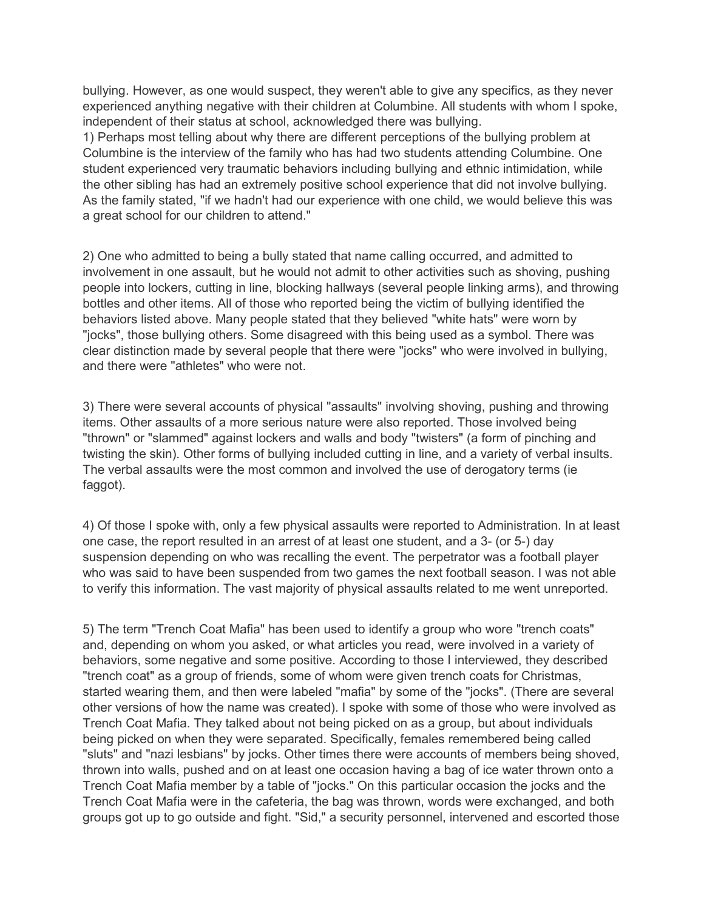bullying. However, as one would suspect, they weren't able to give any specifics, as they never experienced anything negative with their children at Columbine. All students with whom I spoke, independent of their status at school, acknowledged there was bullying.

1) Perhaps most telling about why there are different perceptions of the bullying problem at Columbine is the interview of the family who has had two students attending Columbine. One student experienced very traumatic behaviors including bullying and ethnic intimidation, while the other sibling has had an extremely positive school experience that did not involve bullying. As the family stated, "if we hadn't had our experience with one child, we would believe this was a great school for our children to attend."

2) One who admitted to being a bully stated that name calling occurred, and admitted to involvement in one assault, but he would not admit to other activities such as shoving, pushing people into lockers, cutting in line, blocking hallways (several people linking arms), and throwing bottles and other items. All of those who reported being the victim of bullying identified the behaviors listed above. Many people stated that they believed "white hats" were worn by "jocks", those bullying others. Some disagreed with this being used as a symbol. There was clear distinction made by several people that there were "jocks" who were involved in bullying, and there were "athletes" who were not.

3) There were several accounts of physical "assaults" involving shoving, pushing and throwing items. Other assaults of a more serious nature were also reported. Those involved being "thrown" or "slammed" against lockers and walls and body "twisters" (a form of pinching and twisting the skin). Other forms of bullying included cutting in line, and a variety of verbal insults. The verbal assaults were the most common and involved the use of derogatory terms (ie faggot).

4) Of those I spoke with, only a few physical assaults were reported to Administration. In at least one case, the report resulted in an arrest of at least one student, and a 3- (or 5-) day suspension depending on who was recalling the event. The perpetrator was a football player who was said to have been suspended from two games the next football season. I was not able to verify this information. The vast majority of physical assaults related to me went unreported.

5) The term "Trench Coat Mafia" has been used to identify a group who wore "trench coats" and, depending on whom you asked, or what articles you read, were involved in a variety of behaviors, some negative and some positive. According to those I interviewed, they described "trench coat" as a group of friends, some of whom were given trench coats for Christmas, started wearing them, and then were labeled "mafia" by some of the "jocks". (There are several other versions of how the name was created). I spoke with some of those who were involved as Trench Coat Mafia. They talked about not being picked on as a group, but about individuals being picked on when they were separated. Specifically, females remembered being called "sluts" and "nazi lesbians" by jocks. Other times there were accounts of members being shoved, thrown into walls, pushed and on at least one occasion having a bag of ice water thrown onto a Trench Coat Mafia member by a table of "jocks." On this particular occasion the jocks and the Trench Coat Mafia were in the cafeteria, the bag was thrown, words were exchanged, and both groups got up to go outside and fight. "Sid," a security personnel, intervened and escorted those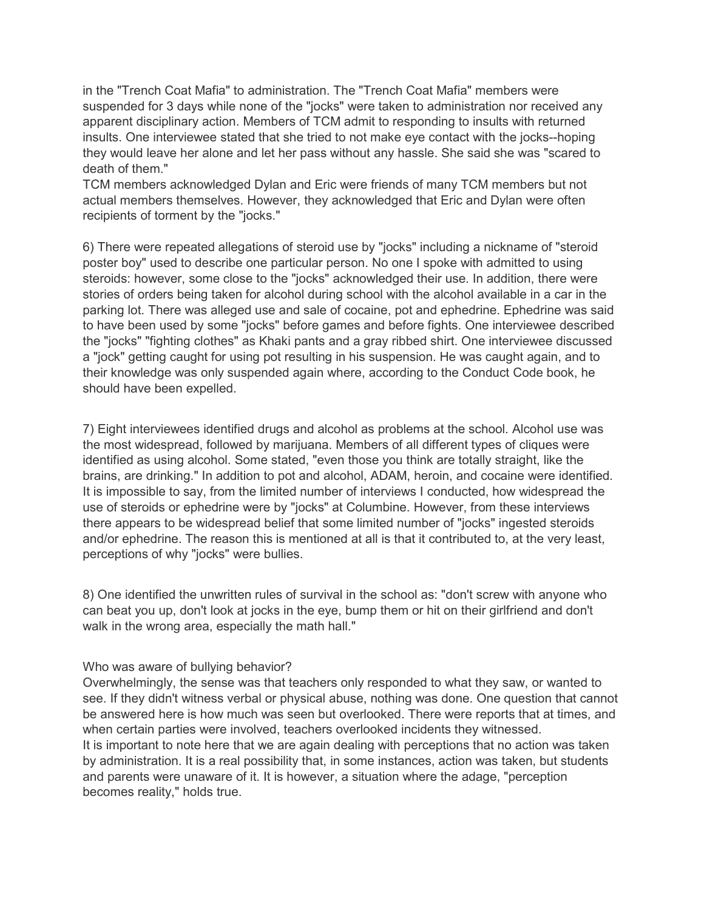in the "Trench Coat Mafia" to administration. The "Trench Coat Mafia" members were suspended for 3 days while none of the "jocks" were taken to administration nor received any apparent disciplinary action. Members of TCM admit to responding to insults with returned insults. One interviewee stated that she tried to not make eye contact with the jocks--hoping they would leave her alone and let her pass without any hassle. She said she was "scared to death of them."

TCM members acknowledged Dylan and Eric were friends of many TCM members but not actual members themselves. However, they acknowledged that Eric and Dylan were often recipients of torment by the "jocks."

6) There were repeated allegations of steroid use by "jocks" including a nickname of "steroid poster boy" used to describe one particular person. No one I spoke with admitted to using steroids: however, some close to the "jocks" acknowledged their use. In addition, there were stories of orders being taken for alcohol during school with the alcohol available in a car in the parking lot. There was alleged use and sale of cocaine, pot and ephedrine. Ephedrine was said to have been used by some "jocks" before games and before fights. One interviewee described the "jocks" "fighting clothes" as Khaki pants and a gray ribbed shirt. One interviewee discussed a "jock" getting caught for using pot resulting in his suspension. He was caught again, and to their knowledge was only suspended again where, according to the Conduct Code book, he should have been expelled.

7) Eight interviewees identified drugs and alcohol as problems at the school. Alcohol use was the most widespread, followed by marijuana. Members of all different types of cliques were identified as using alcohol. Some stated, "even those you think are totally straight, like the brains, are drinking." In addition to pot and alcohol, ADAM, heroin, and cocaine were identified. It is impossible to say, from the limited number of interviews I conducted, how widespread the use of steroids or ephedrine were by "jocks" at Columbine. However, from these interviews there appears to be widespread belief that some limited number of "jocks" ingested steroids and/or ephedrine. The reason this is mentioned at all is that it contributed to, at the very least, perceptions of why "jocks" were bullies.

8) One identified the unwritten rules of survival in the school as: "don't screw with anyone who can beat you up, don't look at jocks in the eye, bump them or hit on their girlfriend and don't walk in the wrong area, especially the math hall."

#### Who was aware of bullying behavior?

Overwhelmingly, the sense was that teachers only responded to what they saw, or wanted to see. If they didn't witness verbal or physical abuse, nothing was done. One question that cannot be answered here is how much was seen but overlooked. There were reports that at times, and when certain parties were involved, teachers overlooked incidents they witnessed. It is important to note here that we are again dealing with perceptions that no action was taken by administration. It is a real possibility that, in some instances, action was taken, but students and parents were unaware of it. It is however, a situation where the adage, "perception becomes reality," holds true.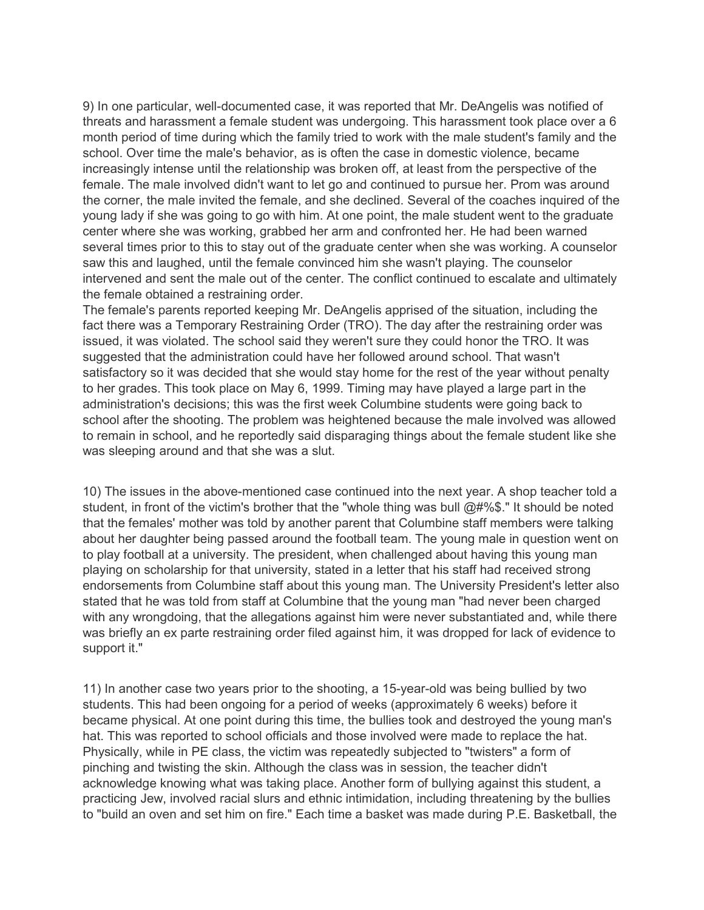9) In one particular, well-documented case, it was reported that Mr. DeAngelis was notified of threats and harassment a female student was undergoing. This harassment took place over a 6 month period of time during which the family tried to work with the male student's family and the school. Over time the male's behavior, as is often the case in domestic violence, became increasingly intense until the relationship was broken off, at least from the perspective of the female. The male involved didn't want to let go and continued to pursue her. Prom was around the corner, the male invited the female, and she declined. Several of the coaches inquired of the young lady if she was going to go with him. At one point, the male student went to the graduate center where she was working, grabbed her arm and confronted her. He had been warned several times prior to this to stay out of the graduate center when she was working. A counselor saw this and laughed, until the female convinced him she wasn't playing. The counselor intervened and sent the male out of the center. The conflict continued to escalate and ultimately the female obtained a restraining order.

The female's parents reported keeping Mr. DeAngelis apprised of the situation, including the fact there was a Temporary Restraining Order (TRO). The day after the restraining order was issued, it was violated. The school said they weren't sure they could honor the TRO. It was suggested that the administration could have her followed around school. That wasn't satisfactory so it was decided that she would stay home for the rest of the year without penalty to her grades. This took place on May 6, 1999. Timing may have played a large part in the administration's decisions; this was the first week Columbine students were going back to school after the shooting. The problem was heightened because the male involved was allowed to remain in school, and he reportedly said disparaging things about the female student like she was sleeping around and that she was a slut.

10) The issues in the above-mentioned case continued into the next year. A shop teacher told a student, in front of the victim's brother that the "whole thing was bull @#%\$." It should be noted that the females' mother was told by another parent that Columbine staff members were talking about her daughter being passed around the football team. The young male in question went on to play football at a university. The president, when challenged about having this young man playing on scholarship for that university, stated in a letter that his staff had received strong endorsements from Columbine staff about this young man. The University President's letter also stated that he was told from staff at Columbine that the young man "had never been charged with any wrongdoing, that the allegations against him were never substantiated and, while there was briefly an ex parte restraining order filed against him, it was dropped for lack of evidence to support it."

11) In another case two years prior to the shooting, a 15-year-old was being bullied by two students. This had been ongoing for a period of weeks (approximately 6 weeks) before it became physical. At one point during this time, the bullies took and destroyed the young man's hat. This was reported to school officials and those involved were made to replace the hat. Physically, while in PE class, the victim was repeatedly subjected to "twisters" a form of pinching and twisting the skin. Although the class was in session, the teacher didn't acknowledge knowing what was taking place. Another form of bullying against this student, a practicing Jew, involved racial slurs and ethnic intimidation, including threatening by the bullies to "build an oven and set him on fire." Each time a basket was made during P.E. Basketball, the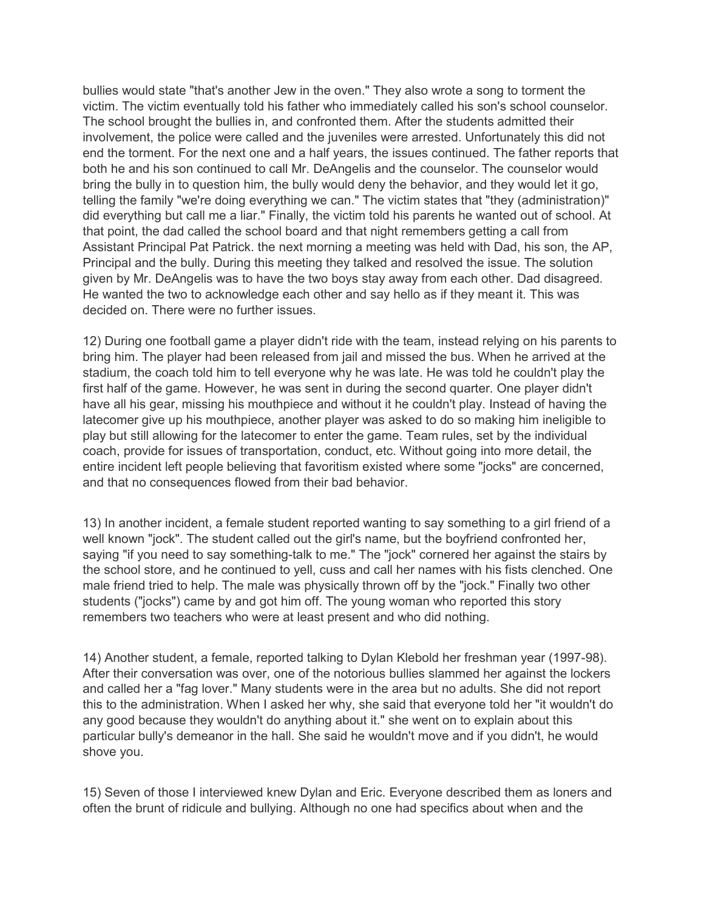bullies would state "that's another Jew in the oven." They also wrote a song to torment the victim. The victim eventually told his father who immediately called his son's school counselor. The school brought the bullies in, and confronted them. After the students admitted their involvement, the police were called and the juveniles were arrested. Unfortunately this did not end the torment. For the next one and a half years, the issues continued. The father reports that both he and his son continued to call Mr. DeAngelis and the counselor. The counselor would bring the bully in to question him, the bully would deny the behavior, and they would let it go, telling the family "we're doing everything we can." The victim states that "they (administration)" did everything but call me a liar." Finally, the victim told his parents he wanted out of school. At that point, the dad called the school board and that night remembers getting a call from Assistant Principal Pat Patrick. the next morning a meeting was held with Dad, his son, the AP, Principal and the bully. During this meeting they talked and resolved the issue. The solution given by Mr. DeAngelis was to have the two boys stay away from each other. Dad disagreed. He wanted the two to acknowledge each other and say hello as if they meant it. This was decided on. There were no further issues.

12) During one football game a player didn't ride with the team, instead relying on his parents to bring him. The player had been released from jail and missed the bus. When he arrived at the stadium, the coach told him to tell everyone why he was late. He was told he couldn't play the first half of the game. However, he was sent in during the second quarter. One player didn't have all his gear, missing his mouthpiece and without it he couldn't play. Instead of having the latecomer give up his mouthpiece, another player was asked to do so making him ineligible to play but still allowing for the latecomer to enter the game. Team rules, set by the individual coach, provide for issues of transportation, conduct, etc. Without going into more detail, the entire incident left people believing that favoritism existed where some "jocks" are concerned, and that no consequences flowed from their bad behavior.

13) In another incident, a female student reported wanting to say something to a girl friend of a well known "jock". The student called out the girl's name, but the boyfriend confronted her, saying "if you need to say something-talk to me." The "jock" cornered her against the stairs by the school store, and he continued to yell, cuss and call her names with his fists clenched. One male friend tried to help. The male was physically thrown off by the "jock." Finally two other students ("jocks") came by and got him off. The young woman who reported this story remembers two teachers who were at least present and who did nothing.

14) Another student, a female, reported talking to Dylan Klebold her freshman year (1997-98). After their conversation was over, one of the notorious bullies slammed her against the lockers and called her a "fag lover." Many students were in the area but no adults. She did not report this to the administration. When I asked her why, she said that everyone told her "it wouldn't do any good because they wouldn't do anything about it." she went on to explain about this particular bully's demeanor in the hall. She said he wouldn't move and if you didn't, he would shove you.

15) Seven of those I interviewed knew Dylan and Eric. Everyone described them as loners and often the brunt of ridicule and bullying. Although no one had specifics about when and the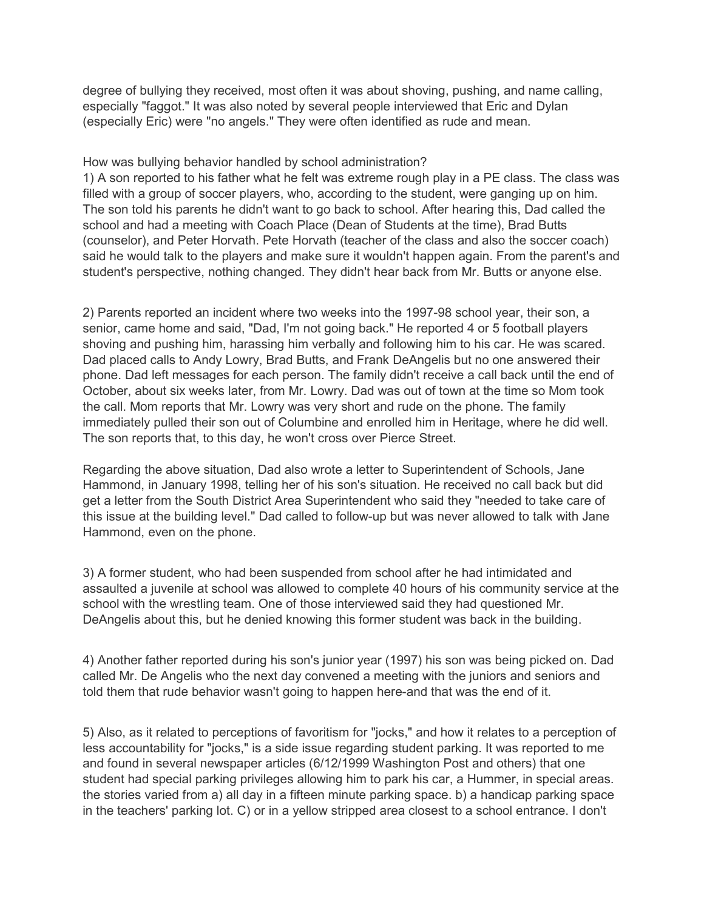degree of bullying they received, most often it was about shoving, pushing, and name calling, especially "faggot." It was also noted by several people interviewed that Eric and Dylan (especially Eric) were "no angels." They were often identified as rude and mean.

## How was bullying behavior handled by school administration?

1) A son reported to his father what he felt was extreme rough play in a PE class. The class was filled with a group of soccer players, who, according to the student, were ganging up on him. The son told his parents he didn't want to go back to school. After hearing this, Dad called the school and had a meeting with Coach Place (Dean of Students at the time), Brad Butts (counselor), and Peter Horvath. Pete Horvath (teacher of the class and also the soccer coach) said he would talk to the players and make sure it wouldn't happen again. From the parent's and student's perspective, nothing changed. They didn't hear back from Mr. Butts or anyone else.

2) Parents reported an incident where two weeks into the 1997-98 school year, their son, a senior, came home and said, "Dad, I'm not going back." He reported 4 or 5 football players shoving and pushing him, harassing him verbally and following him to his car. He was scared. Dad placed calls to Andy Lowry, Brad Butts, and Frank DeAngelis but no one answered their phone. Dad left messages for each person. The family didn't receive a call back until the end of October, about six weeks later, from Mr. Lowry. Dad was out of town at the time so Mom took the call. Mom reports that Mr. Lowry was very short and rude on the phone. The family immediately pulled their son out of Columbine and enrolled him in Heritage, where he did well. The son reports that, to this day, he won't cross over Pierce Street.

Regarding the above situation, Dad also wrote a letter to Superintendent of Schools, Jane Hammond, in January 1998, telling her of his son's situation. He received no call back but did get a letter from the South District Area Superintendent who said they "needed to take care of this issue at the building level." Dad called to follow-up but was never allowed to talk with Jane Hammond, even on the phone.

3) A former student, who had been suspended from school after he had intimidated and assaulted a juvenile at school was allowed to complete 40 hours of his community service at the school with the wrestling team. One of those interviewed said they had questioned Mr. DeAngelis about this, but he denied knowing this former student was back in the building.

4) Another father reported during his son's junior year (1997) his son was being picked on. Dad called Mr. De Angelis who the next day convened a meeting with the juniors and seniors and told them that rude behavior wasn't going to happen here-and that was the end of it.

5) Also, as it related to perceptions of favoritism for "jocks," and how it relates to a perception of less accountability for "jocks," is a side issue regarding student parking. It was reported to me and found in several newspaper articles (6/12/1999 Washington Post and others) that one student had special parking privileges allowing him to park his car, a Hummer, in special areas. the stories varied from a) all day in a fifteen minute parking space. b) a handicap parking space in the teachers' parking lot. C) or in a yellow stripped area closest to a school entrance. I don't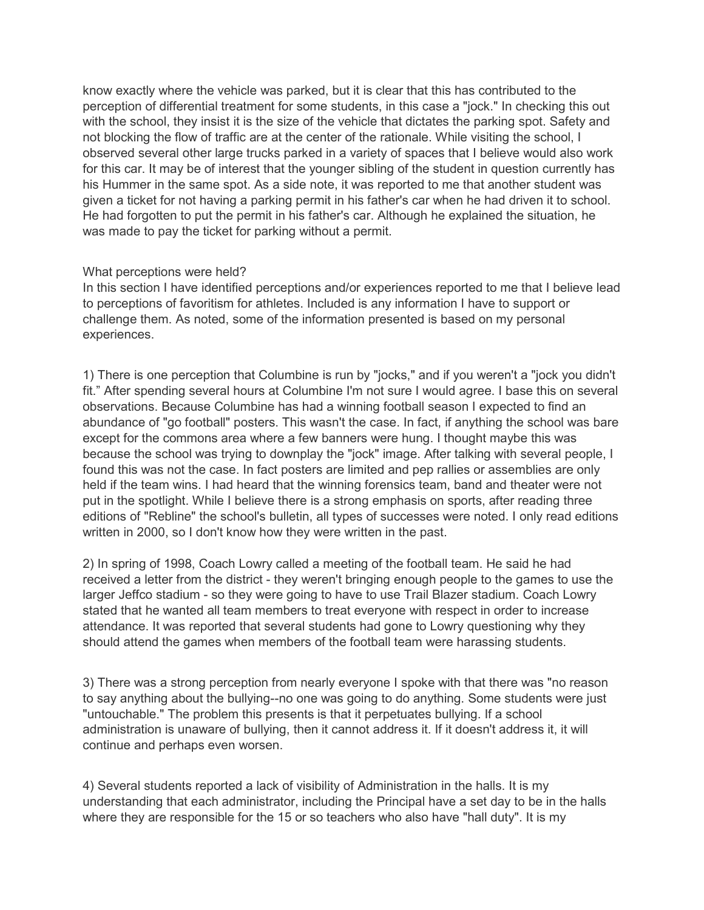know exactly where the vehicle was parked, but it is clear that this has contributed to the perception of differential treatment for some students, in this case a "jock." In checking this out with the school, they insist it is the size of the vehicle that dictates the parking spot. Safety and not blocking the flow of traffic are at the center of the rationale. While visiting the school, I observed several other large trucks parked in a variety of spaces that I believe would also work for this car. It may be of interest that the younger sibling of the student in question currently has his Hummer in the same spot. As a side note, it was reported to me that another student was given a ticket for not having a parking permit in his father's car when he had driven it to school. He had forgotten to put the permit in his father's car. Although he explained the situation, he was made to pay the ticket for parking without a permit.

## What perceptions were held?

In this section I have identified perceptions and/or experiences reported to me that I believe lead to perceptions of favoritism for athletes. Included is any information I have to support or challenge them. As noted, some of the information presented is based on my personal experiences.

1) There is one perception that Columbine is run by "jocks," and if you weren't a "jock you didn't fit." After spending several hours at Columbine I'm not sure I would agree. I base this on several observations. Because Columbine has had a winning football season I expected to find an abundance of "go football" posters. This wasn't the case. In fact, if anything the school was bare except for the commons area where a few banners were hung. I thought maybe this was because the school was trying to downplay the "jock" image. After talking with several people, I found this was not the case. In fact posters are limited and pep rallies or assemblies are only held if the team wins. I had heard that the winning forensics team, band and theater were not put in the spotlight. While I believe there is a strong emphasis on sports, after reading three editions of "Rebline" the school's bulletin, all types of successes were noted. I only read editions written in 2000, so I don't know how they were written in the past.

2) In spring of 1998, Coach Lowry called a meeting of the football team. He said he had received a letter from the district - they weren't bringing enough people to the games to use the larger Jeffco stadium - so they were going to have to use Trail Blazer stadium. Coach Lowry stated that he wanted all team members to treat everyone with respect in order to increase attendance. It was reported that several students had gone to Lowry questioning why they should attend the games when members of the football team were harassing students.

3) There was a strong perception from nearly everyone I spoke with that there was "no reason to say anything about the bullying--no one was going to do anything. Some students were just "untouchable." The problem this presents is that it perpetuates bullying. If a school administration is unaware of bullying, then it cannot address it. If it doesn't address it, it will continue and perhaps even worsen.

4) Several students reported a lack of visibility of Administration in the halls. It is my understanding that each administrator, including the Principal have a set day to be in the halls where they are responsible for the 15 or so teachers who also have "hall duty". It is my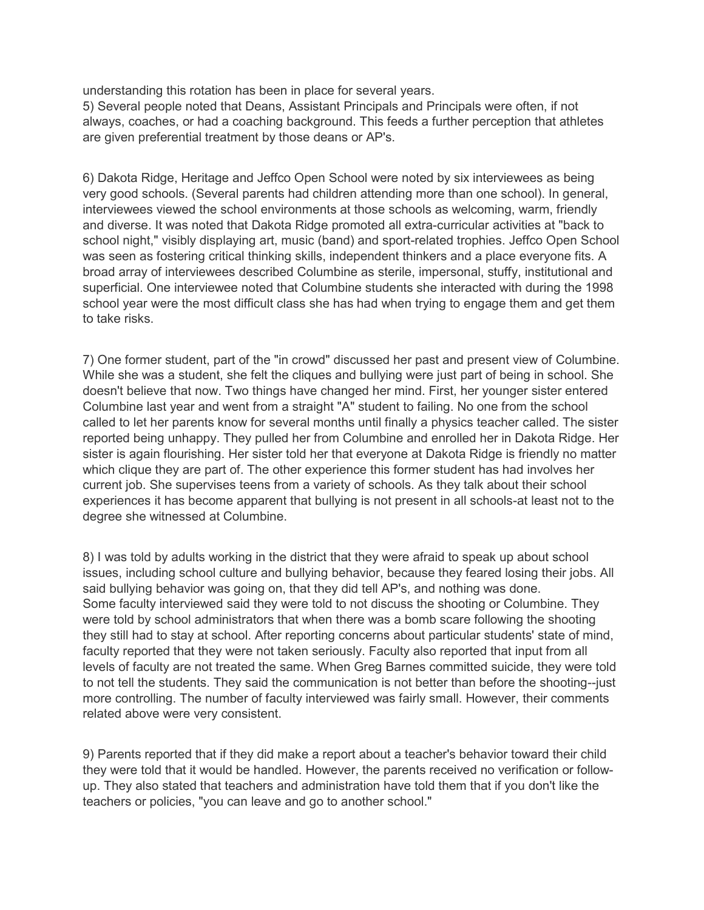understanding this rotation has been in place for several years.

5) Several people noted that Deans, Assistant Principals and Principals were often, if not always, coaches, or had a coaching background. This feeds a further perception that athletes are given preferential treatment by those deans or AP's.

6) Dakota Ridge, Heritage and Jeffco Open School were noted by six interviewees as being very good schools. (Several parents had children attending more than one school). In general, interviewees viewed the school environments at those schools as welcoming, warm, friendly and diverse. It was noted that Dakota Ridge promoted all extra-curricular activities at "back to school night," visibly displaying art, music (band) and sport-related trophies. Jeffco Open School was seen as fostering critical thinking skills, independent thinkers and a place everyone fits. A broad array of interviewees described Columbine as sterile, impersonal, stuffy, institutional and superficial. One interviewee noted that Columbine students she interacted with during the 1998 school year were the most difficult class she has had when trying to engage them and get them to take risks.

7) One former student, part of the "in crowd" discussed her past and present view of Columbine. While she was a student, she felt the cliques and bullying were just part of being in school. She doesn't believe that now. Two things have changed her mind. First, her younger sister entered Columbine last year and went from a straight "A" student to failing. No one from the school called to let her parents know for several months until finally a physics teacher called. The sister reported being unhappy. They pulled her from Columbine and enrolled her in Dakota Ridge. Her sister is again flourishing. Her sister told her that everyone at Dakota Ridge is friendly no matter which clique they are part of. The other experience this former student has had involves her current job. She supervises teens from a variety of schools. As they talk about their school experiences it has become apparent that bullying is not present in all schools-at least not to the degree she witnessed at Columbine.

8) I was told by adults working in the district that they were afraid to speak up about school issues, including school culture and bullying behavior, because they feared losing their jobs. All said bullying behavior was going on, that they did tell AP's, and nothing was done. Some faculty interviewed said they were told to not discuss the shooting or Columbine. They were told by school administrators that when there was a bomb scare following the shooting they still had to stay at school. After reporting concerns about particular students' state of mind, faculty reported that they were not taken seriously. Faculty also reported that input from all levels of faculty are not treated the same. When Greg Barnes committed suicide, they were told to not tell the students. They said the communication is not better than before the shooting--just more controlling. The number of faculty interviewed was fairly small. However, their comments related above were very consistent.

9) Parents reported that if they did make a report about a teacher's behavior toward their child they were told that it would be handled. However, the parents received no verification or followup. They also stated that teachers and administration have told them that if you don't like the teachers or policies, "you can leave and go to another school."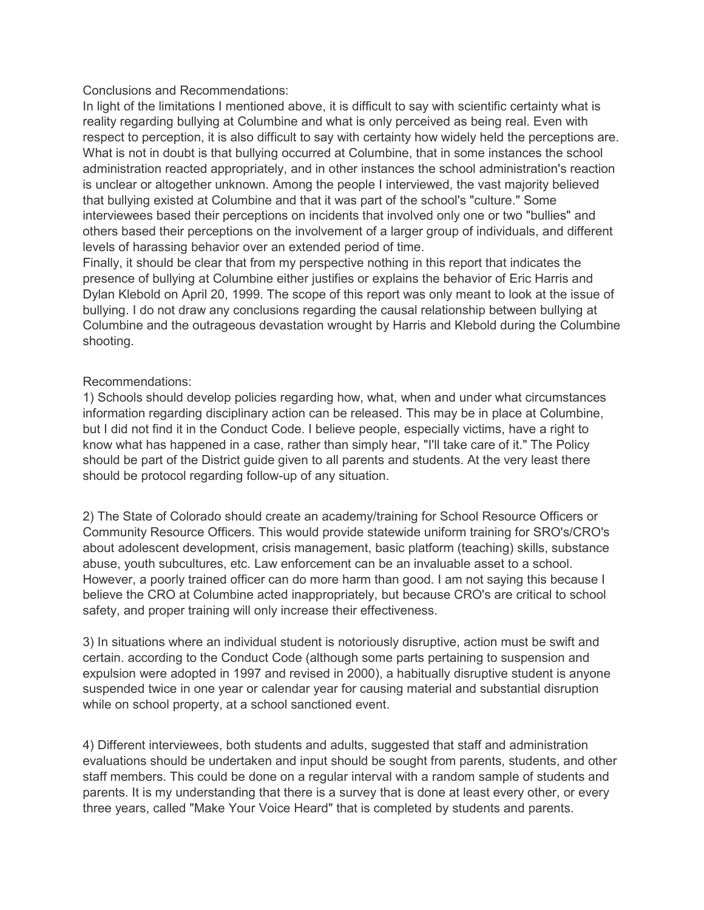## Conclusions and Recommendations:

In light of the limitations I mentioned above, it is difficult to say with scientific certainty what is reality regarding bullying at Columbine and what is only perceived as being real. Even with respect to perception, it is also difficult to say with certainty how widely held the perceptions are. What is not in doubt is that bullying occurred at Columbine, that in some instances the school administration reacted appropriately, and in other instances the school administration's reaction is unclear or altogether unknown. Among the people I interviewed, the vast majority believed that bullying existed at Columbine and that it was part of the school's "culture." Some interviewees based their perceptions on incidents that involved only one or two "bullies" and others based their perceptions on the involvement of a larger group of individuals, and different levels of harassing behavior over an extended period of time.

Finally, it should be clear that from my perspective nothing in this report that indicates the presence of bullying at Columbine either justifies or explains the behavior of Eric Harris and Dylan Klebold on April 20, 1999. The scope of this report was only meant to look at the issue of bullying. I do not draw any conclusions regarding the causal relationship between bullying at Columbine and the outrageous devastation wrought by Harris and Klebold during the Columbine shooting.

## Recommendations:

1) Schools should develop policies regarding how, what, when and under what circumstances information regarding disciplinary action can be released. This may be in place at Columbine, but I did not find it in the Conduct Code. I believe people, especially victims, have a right to know what has happened in a case, rather than simply hear, "I'll take care of it." The Policy should be part of the District guide given to all parents and students. At the very least there should be protocol regarding follow-up of any situation.

2) The State of Colorado should create an academy/training for School Resource Officers or Community Resource Officers. This would provide statewide uniform training for SRO's/CRO's about adolescent development, crisis management, basic platform (teaching) skills, substance abuse, youth subcultures, etc. Law enforcement can be an invaluable asset to a school. However, a poorly trained officer can do more harm than good. I am not saying this because I believe the CRO at Columbine acted inappropriately, but because CRO's are critical to school safety, and proper training will only increase their effectiveness.

3) In situations where an individual student is notoriously disruptive, action must be swift and certain. according to the Conduct Code (although some parts pertaining to suspension and expulsion were adopted in 1997 and revised in 2000), a habitually disruptive student is anyone suspended twice in one year or calendar year for causing material and substantial disruption while on school property, at a school sanctioned event.

4) Different interviewees, both students and adults, suggested that staff and administration evaluations should be undertaken and input should be sought from parents, students, and other staff members. This could be done on a regular interval with a random sample of students and parents. It is my understanding that there is a survey that is done at least every other, or every three years, called "Make Your Voice Heard" that is completed by students and parents.